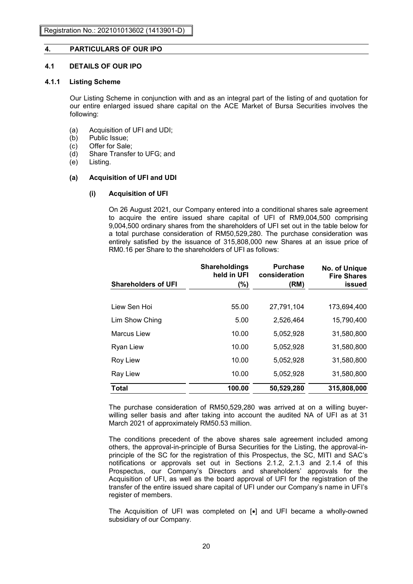# **4. PARTICULARS OF OUR IPO**

# **4.1 DETAILS OF OUR IPO**

#### **4.1.1 Listing Scheme**

Our Listing Scheme in conjunction with and as an integral part of the listing of and quotation for our entire enlarged issued share capital on the ACE Market of Bursa Securities involves the following:

- (a) Acquisition of UFI and UDI;
- (b) Public Issue;
- (c) Offer for Sale;
- (d) Share Transfer to UFG; and
- (e) Listing.

### **(a) Acquisition of UFI and UDI**

### **(i) Acquisition of UFI**

On 26 August 2021, our Company entered into a conditional shares sale agreement to acquire the entire issued share capital of UFI of RM9,004,500 comprising 9,004,500 ordinary shares from the shareholders of UFI set out in the table below for a total purchase consideration of RM50,529,280. The purchase consideration was entirely satisfied by the issuance of 315,808,000 new Shares at an issue price of RM0.16 per Share to the shareholders of UFI as follows:

|                            | <b>Shareholdings</b><br>held in UFI | <b>Purchase</b><br>consideration | No. of Unique<br><b>Fire Shares</b> |
|----------------------------|-------------------------------------|----------------------------------|-------------------------------------|
| <b>Shareholders of UFI</b> | (%)                                 | (RM)                             | issued                              |
|                            |                                     |                                  |                                     |
| Liew Sen Hoi               | 55.00                               | 27,791,104                       | 173,694,400                         |
| Lim Show Ching             | 5.00                                | 2,526,464                        | 15,790,400                          |
| Marcus Liew                | 10.00                               | 5,052,928                        | 31,580,800                          |
| <b>Ryan Liew</b>           | 10.00                               | 5,052,928                        | 31,580,800                          |
| <b>Roy Liew</b>            | 10.00                               | 5,052,928                        | 31,580,800                          |
| <b>Ray Liew</b>            | 10.00                               | 5,052,928                        | 31,580,800                          |
| <b>Total</b>               | 100.00                              | 50,529,280                       | 315,808,000                         |

The purchase consideration of RM50,529,280 was arrived at on a willing buyerwilling seller basis and after taking into account the audited NA of UFI as at 31 March 2021 of approximately RM50.53 million.

The conditions precedent of the above shares sale agreement included among others, the approval-in-principle of Bursa Securities for the Listing, the approval-inprinciple of the SC for the registration of this Prospectus, the SC, MITI and SAC's notifications or approvals set out in Sections 2.1.2, 2.1.3 and 2.1.4 of this Prospectus, our Company's Directors and shareholders' approvals for the Acquisition of UFI, as well as the board approval of UFI for the registration of the transfer of the entire issued share capital of UFI under our Company's name in UFI's register of members.

The Acquisition of UFI was completed on [•] and UFI became a wholly-owned subsidiary of our Company.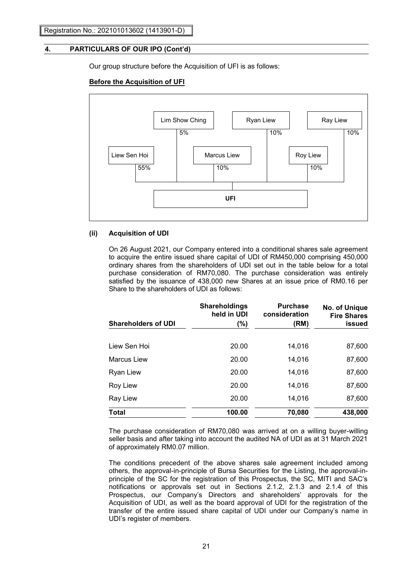Our group structure before the Acquisition of UFI is as follows:

### **Before the Acquisition of UFI**



#### **(ii) Acquisition of UDI**

On 26 August 2021, our Company entered into a conditional shares sale agreement to acquire the entire issued share capital of UDI of RM450,000 comprising 450,000 ordinary shares from the shareholders of UDI set out in the table below for a total purchase consideration of RM70,080. The purchase consideration was entirely satisfied by the issuance of 438,000 new Shares at an issue price of RM0.16 per Share to the shareholders of UDI as follows:

|                            | <b>Shareholdings</b><br>held in UDI | <b>Purchase</b><br>consideration | No. of Unique<br><b>Fire Shares</b> |
|----------------------------|-------------------------------------|----------------------------------|-------------------------------------|
| <b>Shareholders of UDI</b> | (%)                                 | (RM)                             | issued                              |
| Liew Sen Hoi               | 20.00                               | 14.016                           | 87,600                              |
| <b>Marcus Liew</b>         | 20.00                               | 14,016                           | 87,600                              |
| Ryan Liew                  | 20.00                               | 14,016                           | 87,600                              |
| Roy Liew                   | 20.00                               | 14,016                           | 87,600                              |
| Ray Liew                   | 20.00                               | 14,016                           | 87,600                              |
| <b>Total</b>               | 100.00                              | 70,080                           | 438,000                             |

The purchase consideration of RM70,080 was arrived at on a willing buyer-willing seller basis and after taking into account the audited NA of UDI as at 31 March 2021 of approximately RM0.07 million.

The conditions precedent of the above shares sale agreement included among others, the approval-in-principle of Bursa Securities for the Listing, the approval-inprinciple of the SC for the registration of this Prospectus, the SC, MITI and SAC's notifications or approvals set out in Sections 2.1.2, 2.1.3 and 2.1.4 of this Prospectus, our Company's Directors and shareholders' approvals for the Acquisition of UDI, as well as the board approval of UDI for the registration of the transfer of the entire issued share capital of UDI under our Company's name in UDI's register of members.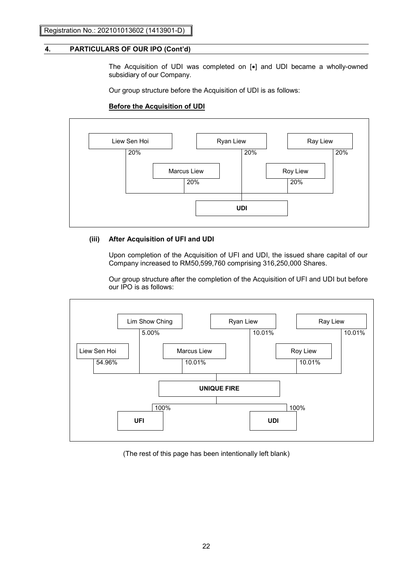The Acquisition of UDI was completed on [•] and UDI became a wholly-owned subsidiary of our Company.

Our group structure before the Acquisition of UDI is as follows:

# **Before the Acquisition of UDI**



## **(iii) After Acquisition of UFI and UDI**

Upon completion of the Acquisition of UFI and UDI, the issued share capital of our Company increased to RM50,599,760 comprising 316,250,000 Shares.

Our group structure after the completion of the Acquisition of UFI and UDI but before our IPO is as follows:



(The rest of this page has been intentionally left blank)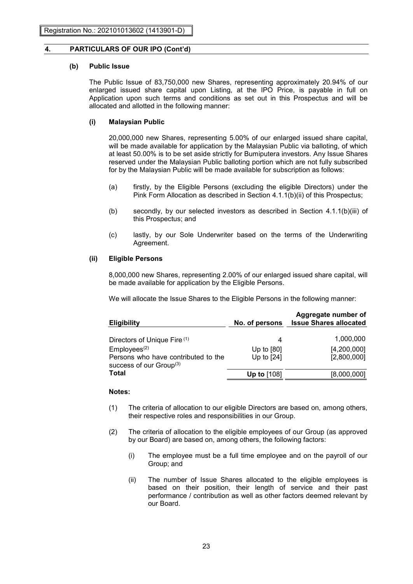#### **(b) Public Issue**

The Public Issue of 83,750,000 new Shares, representing approximately 20.94% of our enlarged issued share capital upon Listing, at the IPO Price, is payable in full on Application upon such terms and conditions as set out in this Prospectus and will be allocated and allotted in the following manner:

#### **(i) Malaysian Public**

20,000,000 new Shares, representing 5.00% of our enlarged issued share capital, will be made available for application by the Malaysian Public via balloting, of which at least 50.00% is to be set aside strictly for Bumiputera investors. Any Issue Shares reserved under the Malaysian Public balloting portion which are not fully subscribed for by the Malaysian Public will be made available for subscription as follows:

- (a) firstly, by the Eligible Persons (excluding the eligible Directors) under the Pink Form Allocation as described in Section 4.1.1(b)(ii) of this Prospectus;
- (b) secondly, by our selected investors as described in Section 4.1.1(b)(iii) of this Prospectus; and
- (c) lastly, by our Sole Underwriter based on the terms of the Underwriting Agreement.

#### **(ii) Eligible Persons**

8,000,000 new Shares, representing 2.00% of our enlarged issued share capital, will be made available for application by the Eligible Persons.

We will allocate the Issue Shares to the Eligible Persons in the following manner:

| <b>Eligibility</b>                                                  | No. of persons | Aggregate number of<br><b>Issue Shares allocated</b> |
|---------------------------------------------------------------------|----------------|------------------------------------------------------|
| Directors of Unique Fire (1)                                        | 4              | 1,000,000                                            |
| Employees <sup>(2)</sup>                                            | Up to $[80]$   | [4,200,000]                                          |
| Persons who have contributed to the<br>success of our $Group^{(3)}$ | Up to [24]     | [2,800,000]                                          |
| Total                                                               | Up to $[108]$  | [8,000,000]                                          |

### **Notes:**

- (1) The criteria of allocation to our eligible Directors are based on, among others, their respective roles and responsibilities in our Group.
- (2) The criteria of allocation to the eligible employees of our Group (as approved by our Board) are based on, among others, the following factors:
	- (i) The employee must be a full time employee and on the payroll of our Group; and
	- (ii) The number of Issue Shares allocated to the eligible employees is based on their position, their length of service and their past performance / contribution as well as other factors deemed relevant by our Board.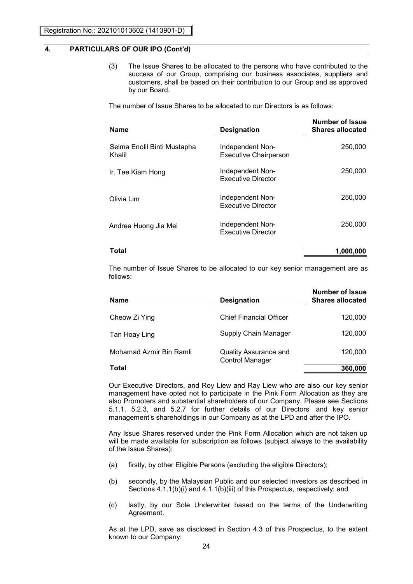(3) The Issue Shares to be allocated to the persons who have contributed to the success of our Group, comprising our business associates, suppliers and customers, shall be based on their contribution to our Group and as approved by our Board.

The number of Issue Shares to be allocated to our Directors is as follows:

| <b>Name</b>                           | <b>Designation</b>                               | Number of Issue<br><b>Shares allocated</b> |
|---------------------------------------|--------------------------------------------------|--------------------------------------------|
| Selma Enolil Binti Mustapha<br>Khalil | Independent Non-<br><b>Executive Chairperson</b> | 250,000                                    |
| Ir. Tee Kiam Hong                     | Independent Non-<br><b>Executive Director</b>    | 250,000                                    |
| Olivia Lim                            | Independent Non-<br><b>Executive Director</b>    | 250,000                                    |
| Andrea Huong Jia Mei                  | Independent Non-<br><b>Executive Director</b>    | 250,000                                    |
| Total                                 |                                                  | 1,000,000                                  |

The number of Issue Shares to be allocated to our key senior management are as follows:

| <b>Name</b>             | <b>Designation</b>             | <b>Number of Issue</b><br><b>Shares allocated</b> |
|-------------------------|--------------------------------|---------------------------------------------------|
| Cheow Zi Ying           | <b>Chief Financial Officer</b> | 120,000                                           |
| Tan Hoay Ling           | Supply Chain Manager           | 120,000                                           |
| Mohamad Azmir Bin Ramli | Quality Assurance and          | 120,000                                           |
| <b>Total</b>            | <b>Control Manager</b>         | 360,000                                           |

Our Executive Directors, and Roy Liew and Ray Liew who are also our key senior management have opted not to participate in the Pink Form Allocation as they are also Promoters and substantial shareholders of our Company. Please see Sections 5.1.1, 5.2.3, and 5.2.7 for further details of our Directors' and key senior management's shareholdings in our Company as at the LPD and after the IPO.

Any Issue Shares reserved under the Pink Form Allocation which are not taken up will be made available for subscription as follows (subject always to the availability of the Issue Shares):

- (a) firstly, by other Eligible Persons (excluding the eligible Directors);
- (b) secondly, by the Malaysian Public and our selected investors as described in Sections 4.1.1(b)(i) and 4.1.1(b)(iii) of this Prospectus, respectively; and
- (c) lastly, by our Sole Underwriter based on the terms of the Underwriting Agreement.

As at the LPD, save as disclosed in Section 4.3 of this Prospectus, to the extent known to our Company: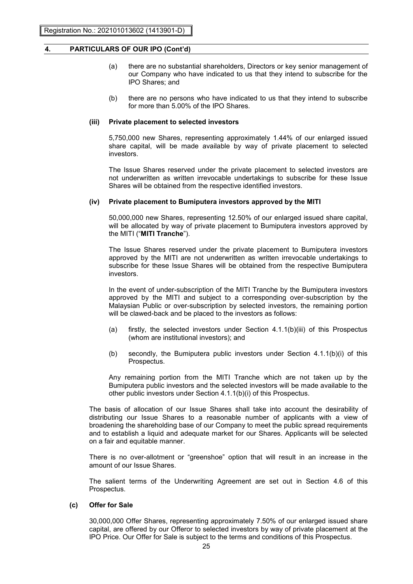- (a) there are no substantial shareholders, Directors or key senior management of our Company who have indicated to us that they intend to subscribe for the IPO Shares; and
- (b) there are no persons who have indicated to us that they intend to subscribe for more than 5.00% of the IPO Shares.

#### **(iii) Private placement to selected investors**

5,750,000 new Shares, representing approximately 1.44% of our enlarged issued share capital, will be made available by way of private placement to selected investors.

The Issue Shares reserved under the private placement to selected investors are not underwritten as written irrevocable undertakings to subscribe for these Issue Shares will be obtained from the respective identified investors.

#### **(iv) Private placement to Bumiputera investors approved by the MITI**

50,000,000 new Shares, representing 12.50% of our enlarged issued share capital, will be allocated by way of private placement to Bumiputera investors approved by the MITI ("**MITI Tranche**").

The Issue Shares reserved under the private placement to Bumiputera investors approved by the MITI are not underwritten as written irrevocable undertakings to subscribe for these Issue Shares will be obtained from the respective Bumiputera investors.

In the event of under-subscription of the MITI Tranche by the Bumiputera investors approved by the MITI and subject to a corresponding over-subscription by the Malaysian Public or over-subscription by selected investors, the remaining portion will be clawed-back and be placed to the investors as follows:

- (a) firstly, the selected investors under Section 4.1.1(b)(iii) of this Prospectus (whom are institutional investors); and
- (b) secondly, the Bumiputera public investors under Section 4.1.1(b)(i) of this Prospectus.

Any remaining portion from the MITI Tranche which are not taken up by the Bumiputera public investors and the selected investors will be made available to the other public investors under Section 4.1.1(b)(i) of this Prospectus.

The basis of allocation of our Issue Shares shall take into account the desirability of distributing our Issue Shares to a reasonable number of applicants with a view of broadening the shareholding base of our Company to meet the public spread requirements and to establish a liquid and adequate market for our Shares. Applicants will be selected on a fair and equitable manner.

There is no over-allotment or "greenshoe" option that will result in an increase in the amount of our Issue Shares.

The salient terms of the Underwriting Agreement are set out in Section 4.6 of this Prospectus.

## **(c) Offer for Sale**

30,000,000 Offer Shares, representing approximately 7.50% of our enlarged issued share capital, are offered by our Offeror to selected investors by way of private placement at the IPO Price. Our Offer for Sale is subject to the terms and conditions of this Prospectus.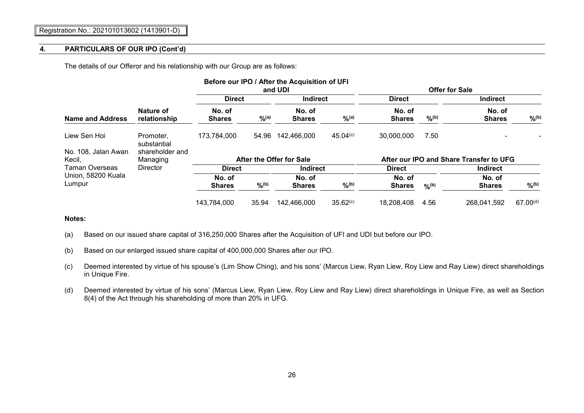The details of our Offeror and his relationship with our Group are as follows:

|                               |                             |                         |                   | Before our IPO / After the Acquisition of UFI<br>and UDI |                      |                         |                   | <b>Offer for Sale</b>                   |               |
|-------------------------------|-----------------------------|-------------------------|-------------------|----------------------------------------------------------|----------------------|-------------------------|-------------------|-----------------------------------------|---------------|
|                               |                             | <b>Direct</b>           |                   | <b>Indirect</b>                                          |                      | <b>Direct</b>           |                   | <b>Indirect</b>                         |               |
| Name and Address              | Nature of<br>relationship   | No. of<br><b>Shares</b> | $\frac{9}{6}$ (a) | No. of<br><b>Shares</b>                                  | $\frac{9}{6}$ (a)    | No. of<br><b>Shares</b> | $\frac{9}{6}$ (b) | No. of<br><b>Shares</b>                 | $9/6^{(b)}$   |
| Liew Sen Hoi                  | Promoter,<br>substantial    | 173,784,000             | 54.96             | 142,466,000                                              | 45.04(c)             | 30,000,000              | 7.50              |                                         |               |
| No. 108, Jalan Awan<br>Kecil. | shareholder and<br>Managing |                         |                   | After the Offer for Sale                                 |                      |                         |                   | After our IPO and Share Transfer to UFG |               |
| Taman Overseas                | <b>Director</b>             | <b>Direct</b>           |                   | <b>Indirect</b>                                          |                      | <b>Direct</b>           |                   | <b>Indirect</b>                         |               |
| Union, 58200 Kuala<br>Lumpur  |                             | No. of<br><b>Shares</b> | $9/6^{(b)}$       | No. of<br><b>Shares</b>                                  | $9/6^{(b)}$          | No. of<br><b>Shares</b> | $O_0(b)$          | No. of<br><b>Shares</b>                 | $9/6^{(b)}$   |
|                               |                             | 143,784,000             | 35.94             | 142,466,000                                              | 35.62 <sup>(c)</sup> | 18,208,408              | 4.56              | 268,041,592                             | $67.00^{(d)}$ |

**Notes:**

(a) Based on our issued share capital of 316,250,000 Shares after the Acquisition of UFI and UDI but before our IPO.

(b) Based on our enlarged issued share capital of 400,000,000 Shares after our IPO.

- (c) Deemed interested by virtue of his spouse's (Lim Show Ching), and his sons' (Marcus Liew, Ryan Liew, Roy Liew and Ray Liew) direct shareholdings in Unique Fire.
- (d) Deemed interested by virtue of his sons' (Marcus Liew, Ryan Liew, Roy Liew and Ray Liew) direct shareholdings in Unique Fire, as well as Section 8(4) of the Act through his shareholding of more than 20% in UFG.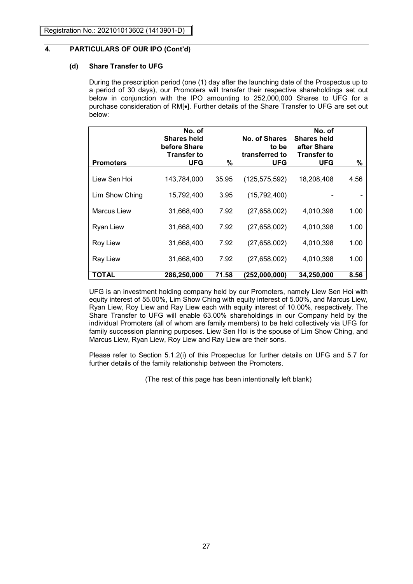## **(d) Share Transfer to UFG**

During the prescription period (one (1) day after the launching date of the Prospectus up to a period of 30 days), our Promoters will transfer their respective shareholdings set out below in conjunction with the IPO amounting to 252,000,000 Shares to UFG for a purchase consideration of RM[.]. Further details of the Share Transfer to UFG are set out below:

| <b>Promoters</b> | No. of<br><b>Shares held</b><br>before Share<br><b>Transfer to</b><br><b>UFG</b> | %     | No. of Shares<br>to be<br>transferred to<br>UFG | No. of<br><b>Shares held</b><br>after Share<br><b>Transfer to</b><br><b>UFG</b> | %    |
|------------------|----------------------------------------------------------------------------------|-------|-------------------------------------------------|---------------------------------------------------------------------------------|------|
| Liew Sen Hoi     | 143,784,000                                                                      | 35.95 | (125, 575, 592)                                 | 18,208,408                                                                      | 4.56 |
| Lim Show Ching   | 15,792,400                                                                       | 3.95  | (15,792,400)                                    |                                                                                 |      |
| Marcus Liew      | 31,668,400                                                                       | 7.92  | (27, 658, 002)                                  | 4,010,398                                                                       | 1.00 |
| Ryan Liew        | 31,668,400                                                                       | 7.92  | (27, 658, 002)                                  | 4,010,398                                                                       | 1.00 |
| Roy Liew         | 31,668,400                                                                       | 7.92  | (27, 658, 002)                                  | 4,010,398                                                                       | 1.00 |
| Ray Liew         | 31,668,400                                                                       | 7.92  | (27, 658, 002)                                  | 4,010,398                                                                       | 1.00 |
| TOTAL            | 286,250,000                                                                      | 71.58 | (252,000,000)                                   | 34,250,000                                                                      | 8.56 |

UFG is an investment holding company held by our Promoters, namely Liew Sen Hoi with equity interest of 55.00%, Lim Show Ching with equity interest of 5.00%, and Marcus Liew, Ryan Liew, Roy Liew and Ray Liew each with equity interest of 10.00%, respectively. The Share Transfer to UFG will enable 63.00% shareholdings in our Company held by the individual Promoters (all of whom are family members) to be held collectively via UFG for family succession planning purposes. Liew Sen Hoi is the spouse of Lim Show Ching, and Marcus Liew, Ryan Liew, Roy Liew and Ray Liew are their sons.

Please refer to Section 5.1.2(i) of this Prospectus for further details on UFG and 5.7 for further details of the family relationship between the Promoters.

(The rest of this page has been intentionally left blank)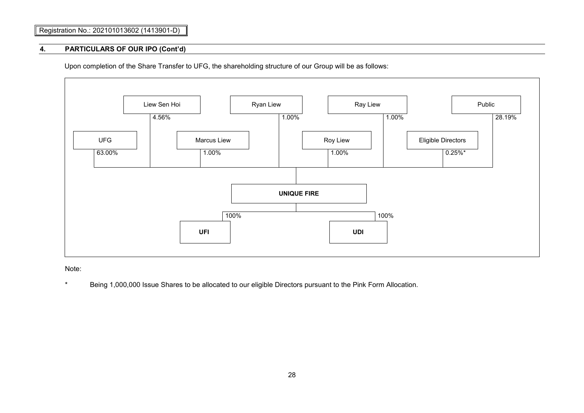# Registration No.: 202101013602 (1413901-D)

### **4. PARTICULARS OF OUR IPO (Cont'd)**

Upon completion of the Share Transfer to UFG, the shareholding structure of our Group will be as follows:



Note:

\* Being 1,000,000 Issue Shares to be allocated to our eligible Directors pursuant to the Pink Form Allocation.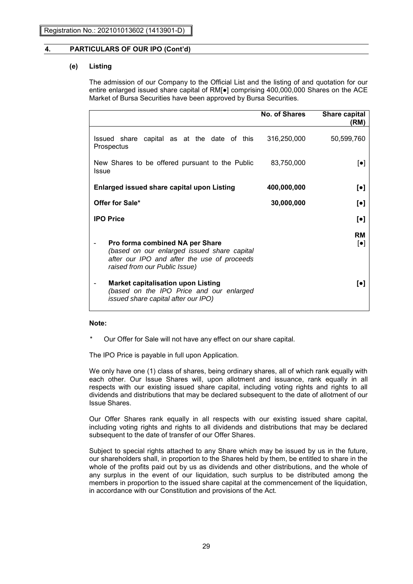### **(e) Listing**

The admission of our Company to the Official List and the listing of and quotation for our entire enlarged issued share capital of RM[●] comprising 400,000,000 Shares on the ACE Market of Bursa Securities have been approved by Bursa Securities.

|                                                                                                                                                                | No. of Shares | Share capital<br>(RM)        |
|----------------------------------------------------------------------------------------------------------------------------------------------------------------|---------------|------------------------------|
| Issued share capital as at the date of this<br>Prospectus                                                                                                      | 316,250,000   | 50,599,760                   |
| New Shares to be offered pursuant to the Public<br>Issue                                                                                                       | 83,750,000    | $[\bullet]$                  |
| <b>Enlarged issued share capital upon Listing</b>                                                                                                              | 400,000,000   | $\lbrack \bullet \rbrack$    |
| Offer for Sale*                                                                                                                                                | 30,000,000    | $\lbrack \bullet \rbrack$    |
| <b>IPO Price</b>                                                                                                                                               |               | $\lbrack \bullet \rbrack$    |
| Pro forma combined NA per Share<br>(based on our enlarged issued share capital<br>after our IPO and after the use of proceeds<br>raised from our Public Issue) |               | RM<br>$\left[\bullet\right]$ |
| <b>Market capitalisation upon Listing</b><br>(based on the IPO Price and our enlarged<br>issued share capital after our IPO)                                   |               | [•]                          |

#### **Note:**

\* Our Offer for Sale will not have any effect on our share capital.

The IPO Price is payable in full upon Application.

We only have one (1) class of shares, being ordinary shares, all of which rank equally with each other. Our Issue Shares will, upon allotment and issuance, rank equally in all respects with our existing issued share capital, including voting rights and rights to all dividends and distributions that may be declared subsequent to the date of allotment of our Issue Shares.

Our Offer Shares rank equally in all respects with our existing issued share capital, including voting rights and rights to all dividends and distributions that may be declared subsequent to the date of transfer of our Offer Shares.

Subject to special rights attached to any Share which may be issued by us in the future, our shareholders shall, in proportion to the Shares held by them, be entitled to share in the whole of the profits paid out by us as dividends and other distributions, and the whole of any surplus in the event of our liquidation, such surplus to be distributed among the members in proportion to the issued share capital at the commencement of the liquidation, in accordance with our Constitution and provisions of the Act.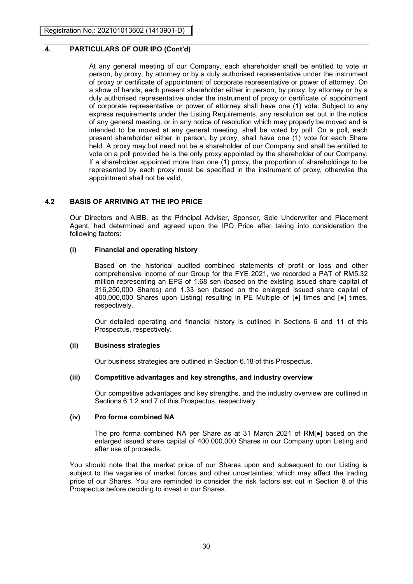At any general meeting of our Company, each shareholder shall be entitled to vote in person, by proxy, by attorney or by a duly authorised representative under the instrument of proxy or certificate of appointment of corporate representative or power of attorney. On a show of hands, each present shareholder either in person, by proxy, by attorney or by a duly authorised representative under the instrument of proxy or certificate of appointment of corporate representative or power of attorney shall have one (1) vote. Subject to any express requirements under the Listing Requirements, any resolution set out in the notice of any general meeting, or in any notice of resolution which may properly be moved and is intended to be moved at any general meeting, shall be voted by poll. On a poll, each present shareholder either in person, by proxy, shall have one (1) vote for each Share held. A proxy may but need not be a shareholder of our Company and shall be entitled to vote on a poll provided he is the only proxy appointed by the shareholder of our Company. If a shareholder appointed more than one (1) proxy, the proportion of shareholdings to be represented by each proxy must be specified in the instrument of proxy, otherwise the appointment shall not be valid.

# **4.2 BASIS OF ARRIVING AT THE IPO PRICE**

Our Directors and AIBB, as the Principal Adviser, Sponsor, Sole Underwriter and Placement Agent, had determined and agreed upon the IPO Price after taking into consideration the following factors:

### **(i) Financial and operating history**

Based on the historical audited combined statements of profit or loss and other comprehensive income of our Group for the FYE 2021, we recorded a PAT of RM5.32 million representing an EPS of 1.68 sen (based on the existing issued share capital of 316,250,000 Shares) and 1.33 sen (based on the enlarged issued share capital of 400,000,000 Shares upon Listing) resulting in PE Multiple of [●] times and [●] times, respectively.

Our detailed operating and financial history is outlined in Sections 6 and 11 of this Prospectus, respectively.

## **(ii) Business strategies**

Our business strategies are outlined in Section 6.18 of this Prospectus.

#### **(iii) Competitive advantages and key strengths, and industry overview**

Our competitive advantages and key strengths, and the industry overview are outlined in Sections 6.1.2 and 7 of this Prospectus, respectively.

#### **(iv) Pro forma combined NA**

The pro forma combined NA per Share as at 31 March 2021 of RM[●] based on the enlarged issued share capital of 400,000,000 Shares in our Company upon Listing and after use of proceeds.

You should note that the market price of our Shares upon and subsequent to our Listing is subject to the vagaries of market forces and other uncertainties, which may affect the trading price of our Shares. You are reminded to consider the risk factors set out in Section 8 of this Prospectus before deciding to invest in our Shares.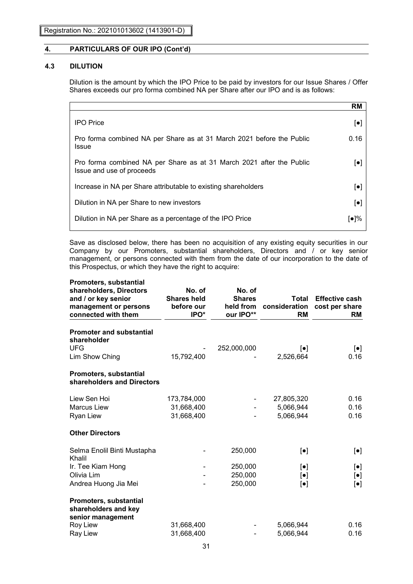### **4.3 DILUTION**

Dilution is the amount by which the IPO Price to be paid by investors for our Issue Shares / Offer Shares exceeds our pro forma combined NA per Share after our IPO and is as follows:

|                                                                                                   | RM                        |
|---------------------------------------------------------------------------------------------------|---------------------------|
| <b>IPO</b> Price                                                                                  | $[\bullet]$               |
| Pro forma combined NA per Share as at 31 March 2021 before the Public<br>Issue                    | 0.16                      |
| Pro forma combined NA per Share as at 31 March 2021 after the Public<br>Issue and use of proceeds | $\lbrack \bullet \rbrack$ |
| Increase in NA per Share attributable to existing shareholders                                    | $\lbrack \bullet \rbrack$ |
| Dilution in NA per Share to new investors                                                         | $\left[\bullet\right]$    |
| Dilution in NA per Share as a percentage of the IPO Price                                         | [●]%                      |

Save as disclosed below, there has been no acquisition of any existing equity securities in our Company by our Promoters, substantial shareholders, Directors and / or key senior management, or persons connected with them from the date of our incorporation to the date of this Prospectus, or which they have the right to acquire:

| <b>Promoters, substantial</b><br>shareholders, Directors<br>and / or key senior<br>management or persons<br>connected with them | No. of<br><b>Shares held</b><br>before our<br>IPO* | No. of<br><b>Shares</b><br>held from<br>our IPO** | Total<br>consideration<br><b>RM</b> | <b>Effective cash</b><br>cost per share<br><b>RM</b> |
|---------------------------------------------------------------------------------------------------------------------------------|----------------------------------------------------|---------------------------------------------------|-------------------------------------|------------------------------------------------------|
| <b>Promoter and substantial</b><br>shareholder                                                                                  |                                                    |                                                   |                                     |                                                      |
| <b>UFG</b><br>Lim Show Ching                                                                                                    | 15,792,400                                         | 252,000,000                                       | $\left[\bullet\right]$<br>2,526,664 | $\left[\bullet\right]$<br>0.16                       |
| Promoters, substantial<br>shareholders and Directors                                                                            |                                                    |                                                   |                                     |                                                      |
| Liew Sen Hoi                                                                                                                    | 173,784,000                                        |                                                   | 27,805,320                          | 0.16                                                 |
| <b>Marcus Liew</b>                                                                                                              | 31,668,400                                         |                                                   | 5,066,944                           | 0.16                                                 |
| <b>Ryan Liew</b>                                                                                                                | 31,668,400                                         |                                                   | 5,066,944                           | 0.16                                                 |
| <b>Other Directors</b>                                                                                                          |                                                    |                                                   |                                     |                                                      |
| Selma Enolil Binti Mustapha<br>Khalil                                                                                           |                                                    | 250,000                                           | $\lbrack \bullet \rbrack$           | $\left[\bullet\right]$                               |
| Ir. Tee Kiam Hong                                                                                                               |                                                    | 250,000                                           | $\left[\bullet\right]$              | $[\bullet]$                                          |
| Olivia Lim                                                                                                                      |                                                    | 250,000                                           | $[\bullet]$                         | $\left[\bullet\right]$                               |
| Andrea Huong Jia Mei                                                                                                            |                                                    | 250,000                                           | $\left[\bullet\right]$              | $\lbrack \bullet \rbrack$                            |
| <b>Promoters, substantial</b><br>shareholders and key<br>senior management                                                      |                                                    |                                                   |                                     |                                                      |
| Roy Liew                                                                                                                        | 31,668,400                                         |                                                   | 5,066,944                           | 0.16                                                 |
| Ray Liew                                                                                                                        | 31,668,400                                         |                                                   | 5,066,944                           | 0.16                                                 |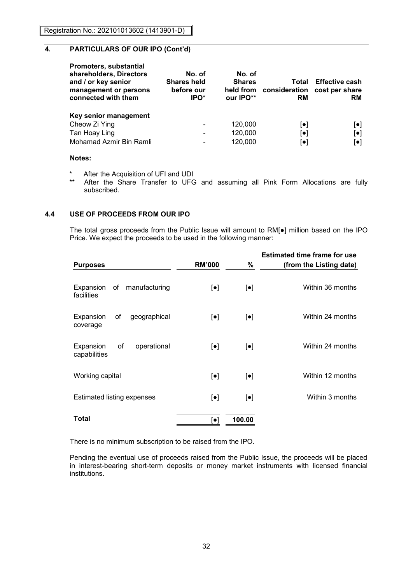| <b>Promoters, substantial</b><br>shareholders, Directors<br>and / or key senior<br>management or persons<br>connected with them | No. of<br><b>Shares held</b><br>before our<br>IPO <sup>*</sup> | No. of<br><b>Shares</b><br>held from<br>our IPO** | Total<br>consideration<br>RM | <b>Effective cash</b><br>cost per share<br>RM |
|---------------------------------------------------------------------------------------------------------------------------------|----------------------------------------------------------------|---------------------------------------------------|------------------------------|-----------------------------------------------|
| Key senior management                                                                                                           |                                                                |                                                   |                              |                                               |
| Cheow Zi Ying                                                                                                                   | ٠                                                              | 120,000                                           | $ \bullet $                  | $[\bullet]$                                   |
| Tan Hoay Ling                                                                                                                   | ٠                                                              | 120,000                                           | $ \bullet $                  | $[\bullet]$                                   |
| Mohamad Azmir Bin Ramli                                                                                                         | $\overline{\phantom{0}}$                                       | 120,000                                           | $\lceil \bullet \rceil$      | $\lceil \bullet \rceil$                       |

### **Notes:**

- \* After the Acquisition of UFI and UDI
- After the Share Transfer to UFG and assuming all Pink Form Allocations are fully subscribed.

### **4.4 USE OF PROCEEDS FROM OUR IPO**

The total gross proceeds from the Public Issue will amount to RM[●] million based on the IPO Price. We expect the proceeds to be used in the following manner:

| <b>Purposes</b>                                | <b>RM'000</b>             | %                         | <b>Estimated time frame for use</b><br>(from the Listing date) |
|------------------------------------------------|---------------------------|---------------------------|----------------------------------------------------------------|
| Expansion of manufacturing<br>facilities       | $[\bullet]$               | $\left[\bullet\right]$    | Within 36 months                                               |
| Expansion<br>of<br>geographical<br>coverage    | $\lbrack \bullet \rbrack$ | $\left[\bullet\right]$    | Within 24 months                                               |
| of<br>Expansion<br>operational<br>capabilities | $[\bullet]$               | $\left[\bullet\right]$    | Within 24 months                                               |
| Working capital                                | $\left[\bullet\right]$    | $\left[\bullet\right]$    | Within 12 months                                               |
| Estimated listing expenses                     | $[\bullet]$               | $\lbrack \bullet \rbrack$ | Within 3 months                                                |
| Total                                          | $\lbrack \bullet \rbrack$ | 100.00                    |                                                                |

There is no minimum subscription to be raised from the IPO.

Pending the eventual use of proceeds raised from the Public Issue, the proceeds will be placed in interest-bearing short-term deposits or money market instruments with licensed financial institutions.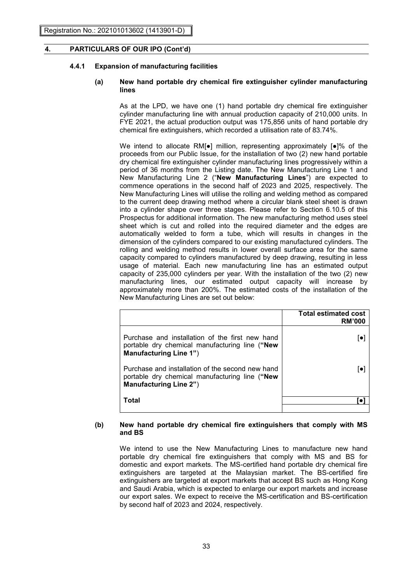### **4.4.1 Expansion of manufacturing facilities**

### **(a) New hand portable dry chemical fire extinguisher cylinder manufacturing lines**

As at the LPD, we have one (1) hand portable dry chemical fire extinguisher cylinder manufacturing line with annual production capacity of 210,000 units. In FYE 2021, the actual production output was 175,856 units of hand portable dry chemical fire extinguishers, which recorded a utilisation rate of 83.74%.

We intend to allocate RM[•] million, representing approximately [•]% of the proceeds from our Public Issue, for the installation of two (2) new hand portable dry chemical fire extinguisher cylinder manufacturing lines progressively within a period of 36 months from the Listing date. The New Manufacturing Line 1 and New Manufacturing Line 2 ("**New Manufacturing Lines**") are expected to commence operations in the second half of 2023 and 2025, respectively. The New Manufacturing Lines will utilise the rolling and welding method as compared to the current deep drawing method where a circular blank steel sheet is drawn into a cylinder shape over three stages. Please refer to Section 6.10.5 of this Prospectus for additional information. The new manufacturing method uses steel sheet which is cut and rolled into the required diameter and the edges are automatically welded to form a tube, which will results in changes in the dimension of the cylinders compared to our existing manufactured cylinders. The rolling and welding method results in lower overall surface area for the same capacity compared to cylinders manufactured by deep drawing, resulting in less usage of material. Each new manufacturing line has an estimated output capacity of 235,000 cylinders per year. With the installation of the two (2) new manufacturing lines, our estimated output capacity will increase by approximately more than 200%. The estimated costs of the installation of the New Manufacturing Lines are set out below:

|                                                                                                                                     | <b>Total estimated cost</b><br><b>RM'000</b> |
|-------------------------------------------------------------------------------------------------------------------------------------|----------------------------------------------|
| Purchase and installation of the first new hand<br>portable dry chemical manufacturing line ("New<br><b>Manufacturing Line 1")</b>  |                                              |
| Purchase and installation of the second new hand<br>portable dry chemical manufacturing line ("New<br><b>Manufacturing Line 2")</b> |                                              |
| Total                                                                                                                               |                                              |

### **(b) New hand portable dry chemical fire extinguishers that comply with MS and BS**

We intend to use the New Manufacturing Lines to manufacture new hand portable dry chemical fire extinguishers that comply with MS and BS for domestic and export markets. The MS-certified hand portable dry chemical fire extinguishers are targeted at the Malaysian market. The BS-certified fire extinguishers are targeted at export markets that accept BS such as Hong Kong and Saudi Arabia, which is expected to enlarge our export markets and increase our export sales. We expect to receive the MS-certification and BS-certification by second half of 2023 and 2024, respectively.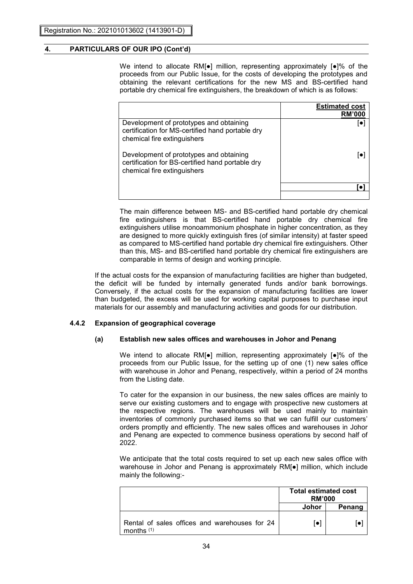We intend to allocate RM[•] million, representing approximately [•]% of the proceeds from our Public Issue, for the costs of developing the prototypes and obtaining the relevant certifications for the new MS and BS-certified hand portable dry chemical fire extinguishers, the breakdown of which is as follows:

|                                                                                                                            | <b>Estimated cost</b><br><b>RM'000</b> |
|----------------------------------------------------------------------------------------------------------------------------|----------------------------------------|
| Development of prototypes and obtaining<br>certification for MS-certified hand portable dry<br>chemical fire extinguishers |                                        |
| Development of prototypes and obtaining<br>certification for BS-certified hand portable dry<br>chemical fire extinguishers |                                        |
|                                                                                                                            |                                        |
|                                                                                                                            |                                        |

The main difference between MS- and BS-certified hand portable dry chemical fire extinguishers is that BS-certified hand portable dry chemical fire extinguishers utilise monoammonium phosphate in higher concentration, as they are designed to more quickly extinguish fires (of similar intensity) at faster speed as compared to MS-certified hand portable dry chemical fire extinguishers. Other than this, MS- and BS-certified hand portable dry chemical fire extinguishers are comparable in terms of design and working principle.

If the actual costs for the expansion of manufacturing facilities are higher than budgeted, the deficit will be funded by internally generated funds and/or bank borrowings. Conversely, if the actual costs for the expansion of manufacturing facilities are lower than budgeted, the excess will be used for working capital purposes to purchase input materials for our assembly and manufacturing activities and goods for our distribution.

### **4.4.2 Expansion of geographical coverage**

### **(a) Establish new sales offices and warehouses in Johor and Penang**

We intend to allocate RM[●] million, representing approximately [●]% of the proceeds from our Public Issue, for the setting up of one (1) new sales office with warehouse in Johor and Penang, respectively, within a period of 24 months from the Listing date.

To cater for the expansion in our business, the new sales offices are mainly to serve our existing customers and to engage with prospective new customers at the respective regions. The warehouses will be used mainly to maintain inventories of commonly purchased items so that we can fulfill our customers' orders promptly and efficiently. The new sales offices and warehouses in Johor and Penang are expected to commence business operations by second half of 2022.

We anticipate that the total costs required to set up each new sales office with warehouse in Johor and Penang is approximately RM[●] million, which include mainly the following:-

|                                                               | <b>Total estimated cost</b><br><b>RM'000</b> |        |
|---------------------------------------------------------------|----------------------------------------------|--------|
|                                                               | Johor                                        | Penang |
| Rental of sales offices and warehouses for 24<br>months $(1)$ | [●]                                          |        |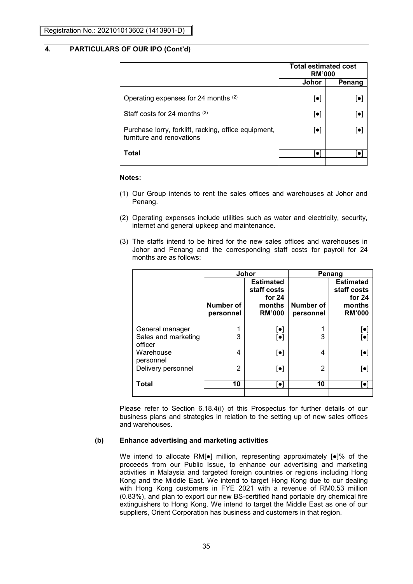|                                                                                   | <b>Total estimated cost</b><br><b>RM'000</b> |                           |
|-----------------------------------------------------------------------------------|----------------------------------------------|---------------------------|
|                                                                                   | Johor                                        | Penang                    |
| Operating expenses for 24 months (2)                                              | $\lbrack \bullet \rbrack$                    | $\left[\bullet\right]$    |
| Staff costs for 24 months $(3)$                                                   | $\lbrack \bullet \rbrack$                    | $\lbrack \bullet \rbrack$ |
| Purchase lorry, forklift, racking, office equipment,<br>furniture and renovations | $\lbrack \bullet \rbrack$                    | $\left[\bullet\right]$    |
| Total                                                                             |                                              |                           |
|                                                                                   |                                              |                           |

#### **Notes:**

- (1) Our Group intends to rent the sales offices and warehouses at Johor and Penang.
- (2) Operating expenses include utilities such as water and electricity, security, internet and general upkeep and maintenance.
- (3) The staffs intend to be hired for the new sales offices and warehouses in Johor and Penang and the corresponding staff costs for payroll for 24 months are as follows:

|                                                   | Johor                  |                                       |                        | Penang                            |
|---------------------------------------------------|------------------------|---------------------------------------|------------------------|-----------------------------------|
|                                                   |                        | <b>Estimated</b><br>staff costs       |                        | <b>Estimated</b><br>staff costs   |
|                                                   | Number of<br>personnel | for $24$<br>months<br><b>RM'000</b>   | Number of<br>personnel | for 24<br>months<br><b>RM'000</b> |
| General manager<br>Sales and marketing<br>officer | 3                      | $[\bullet]$<br>$\left[\bullet\right]$ | 3                      | $[\bullet]$<br>$\bar{[\bullet]}$  |
| Warehouse<br>personnel                            | 4                      | $\lbrack \bullet \rbrack$             | 4                      | $\left[\bullet\right]$            |
| Delivery personnel                                | 2                      | $\lbrack \bullet \rbrack$             | 2                      | $\left[\bullet\right]$            |
| Total                                             | 10                     | ol                                    | 10                     | Ō                                 |

Please refer to Section 6.18.4(i) of this Prospectus for further details of our business plans and strategies in relation to the setting up of new sales offices and warehouses.

#### **(b) Enhance advertising and marketing activities**

We intend to allocate RM[●] million, representing approximately [●]% of the proceeds from our Public Issue, to enhance our advertising and marketing activities in Malaysia and targeted foreign countries or regions including Hong Kong and the Middle East. We intend to target Hong Kong due to our dealing with Hong Kong customers in FYE 2021 with a revenue of RM0.53 million (0.83%), and plan to export our new BS-certified hand portable dry chemical fire extinguishers to Hong Kong. We intend to target the Middle East as one of our suppliers, Orient Corporation has business and customers in that region.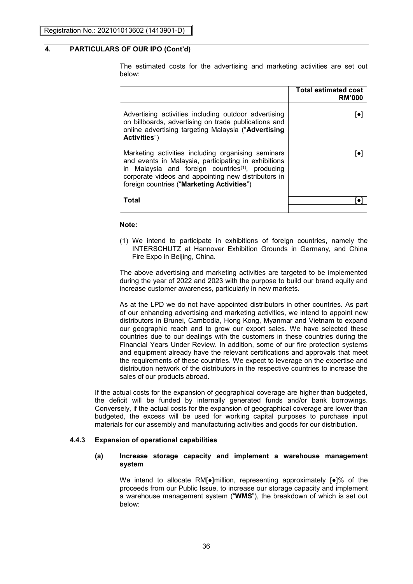The estimated costs for the advertising and marketing activities are set out below:

|                                                                                                                                                                                                                                                                                 | <b>Total estimated cost</b><br><b>RM'000</b> |
|---------------------------------------------------------------------------------------------------------------------------------------------------------------------------------------------------------------------------------------------------------------------------------|----------------------------------------------|
| Advertising activities including outdoor advertising<br>on billboards, advertising on trade publications and<br>online advertising targeting Malaysia ("Advertising<br>Activities")                                                                                             |                                              |
| Marketing activities including organising seminars<br>and events in Malaysia, participating in exhibitions<br>in Malaysia and foreign countries <sup>(1)</sup> , producing<br>corporate videos and appointing new distributors in<br>foreign countries ("Marketing Activities") |                                              |
| Total                                                                                                                                                                                                                                                                           |                                              |
|                                                                                                                                                                                                                                                                                 |                                              |

## **Note:**

(1) We intend to participate in exhibitions of foreign countries, namely the INTERSCHUTZ at Hannover Exhibition Grounds in Germany, and China Fire Expo in Beijing, China.

The above advertising and marketing activities are targeted to be implemented during the year of 2022 and 2023 with the purpose to build our brand equity and increase customer awareness, particularly in new markets.

As at the LPD we do not have appointed distributors in other countries. As part of our enhancing advertising and marketing activities, we intend to appoint new distributors in Brunei, Cambodia, Hong Kong, Myanmar and Vietnam to expand our geographic reach and to grow our export sales. We have selected these countries due to our dealings with the customers in these countries during the Financial Years Under Review. In addition, some of our fire protection systems and equipment already have the relevant certifications and approvals that meet the requirements of these countries. We expect to leverage on the expertise and distribution network of the distributors in the respective countries to increase the sales of our products abroad.

If the actual costs for the expansion of geographical coverage are higher than budgeted, the deficit will be funded by internally generated funds and/or bank borrowings. Conversely, if the actual costs for the expansion of geographical coverage are lower than budgeted, the excess will be used for working capital purposes to purchase input materials for our assembly and manufacturing activities and goods for our distribution.

#### **4.4.3 Expansion of operational capabilities**

#### **(a) Increase storage capacity and implement a warehouse management system**

We intend to allocate RM[●]million, representing approximately [●]% of the proceeds from our Public Issue, to increase our storage capacity and implement a warehouse management system ("**WMS**"), the breakdown of which is set out below: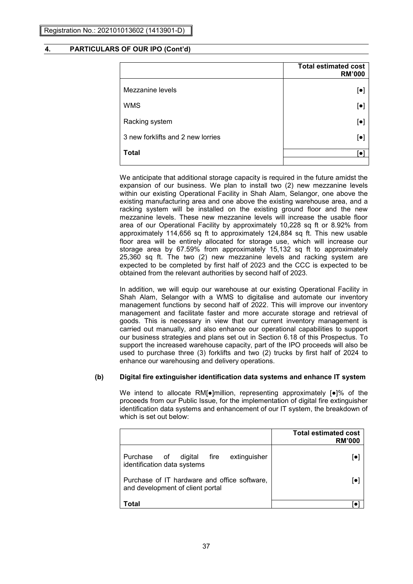|                                   | <b>Total estimated cost</b><br><b>RM'000</b> |
|-----------------------------------|----------------------------------------------|
| Mezzanine levels                  | $[\bullet]$                                  |
| <b>WMS</b>                        | $[\bullet]$                                  |
| Racking system                    | $[\bullet]$                                  |
| 3 new forklifts and 2 new lorries | $\left[\bullet\right]$                       |
| <b>Total</b>                      | o                                            |

We anticipate that additional storage capacity is required in the future amidst the expansion of our business. We plan to install two (2) new mezzanine levels within our existing Operational Facility in Shah Alam, Selangor, one above the existing manufacturing area and one above the existing warehouse area, and a racking system will be installed on the existing ground floor and the new mezzanine levels. These new mezzanine levels will increase the usable floor area of our Operational Facility by approximately 10,228 sq ft or 8.92% from approximately 114,656 sq ft to approximately 124,884 sq ft. This new usable floor area will be entirely allocated for storage use, which will increase our storage area by 67.59% from approximately 15,132 sq ft to approximately 25,360 sq ft. The two (2) new mezzanine levels and racking system are expected to be completed by first half of 2023 and the CCC is expected to be obtained from the relevant authorities by second half of 2023.

In addition, we will equip our warehouse at our existing Operational Facility in Shah Alam, Selangor with a WMS to digitalise and automate our inventory management functions by second half of 2022. This will improve our inventory management and facilitate faster and more accurate storage and retrieval of goods. This is necessary in view that our current inventory management is carried out manually, and also enhance our operational capabilities to support our business strategies and plans set out in Section 6.18 of this Prospectus. To support the increased warehouse capacity, part of the IPO proceeds will also be used to purchase three (3) forklifts and two (2) trucks by first half of 2024 to enhance our warehousing and delivery operations.

## **(b) Digital fire extinguisher identification data systems and enhance IT system**

We intend to allocate RM[•]million, representing approximately [•]% of the proceeds from our Public Issue, for the implementation of digital fire extinguisher identification data systems and enhancement of our IT system, the breakdown of which is set out below:

|                                                                                  | <b>Total estimated cost</b><br><b>RM'000</b> |
|----------------------------------------------------------------------------------|----------------------------------------------|
| extinguisher<br>digital fire<br>Purchase of<br>identification data systems       |                                              |
| Purchase of IT hardware and office software,<br>and development of client portal |                                              |
| ˈotal                                                                            |                                              |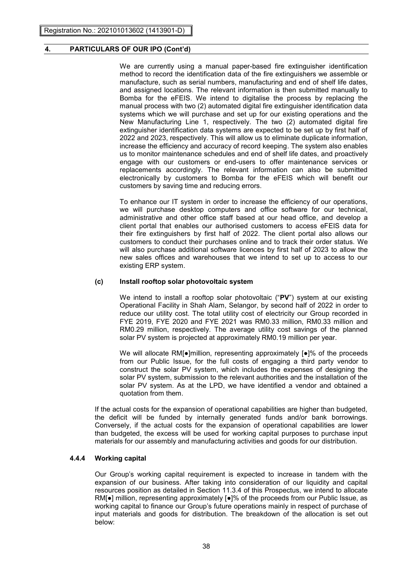We are currently using a manual paper-based fire extinguisher identification method to record the identification data of the fire extinguishers we assemble or manufacture, such as serial numbers, manufacturing and end of shelf life dates, and assigned locations. The relevant information is then submitted manually to Bomba for the eFEIS. We intend to digitalise the process by replacing the manual process with two (2) automated digital fire extinguisher identification data systems which we will purchase and set up for our existing operations and the New Manufacturing Line 1, respectively. The two (2) automated digital fire extinguisher identification data systems are expected to be set up by first half of 2022 and 2023, respectively. This will allow us to eliminate duplicate information, increase the efficiency and accuracy of record keeping. The system also enables us to monitor maintenance schedules and end of shelf life dates, and proactively engage with our customers or end-users to offer maintenance services or replacements accordingly. The relevant information can also be submitted electronically by customers to Bomba for the eFEIS which will benefit our customers by saving time and reducing errors.

To enhance our IT system in order to increase the efficiency of our operations, we will purchase desktop computers and office software for our technical, administrative and other office staff based at our head office, and develop a client portal that enables our authorised customers to access eFEIS data for their fire extinguishers by first half of 2022. The client portal also allows our customers to conduct their purchases online and to track their order status. We will also purchase additional software licences by first half of 2023 to allow the new sales offices and warehouses that we intend to set up to access to our existing ERP system.

#### **(c) Install rooftop solar photovoltaic system**

We intend to install a rooftop solar photovoltaic ("**PV**") system at our existing Operational Facility in Shah Alam, Selangor, by second half of 2022 in order to reduce our utility cost. The total utility cost of electricity our Group recorded in FYE 2019, FYE 2020 and FYE 2021 was RM0.33 million, RM0.33 million and RM0.29 million, respectively. The average utility cost savings of the planned solar PV system is projected at approximately RM0.19 million per year.

We will allocate RM[•]million, representing approximately [•]% of the proceeds from our Public Issue, for the full costs of engaging a third party vendor to construct the solar PV system, which includes the expenses of designing the solar PV system, submission to the relevant authorities and the installation of the solar PV system. As at the LPD, we have identified a vendor and obtained a quotation from them.

If the actual costs for the expansion of operational capabilities are higher than budgeted, the deficit will be funded by internally generated funds and/or bank borrowings. Conversely, if the actual costs for the expansion of operational capabilities are lower than budgeted, the excess will be used for working capital purposes to purchase input materials for our assembly and manufacturing activities and goods for our distribution.

#### **4.4.4 Working capital**

Our Group's working capital requirement is expected to increase in tandem with the expansion of our business. After taking into consideration of our liquidity and capital resources position as detailed in Section 11.3.4 of this Prospectus, we intend to allocate RM[●] million, representing approximately [●]% of the proceeds from our Public Issue, as working capital to finance our Group's future operations mainly in respect of purchase of input materials and goods for distribution. The breakdown of the allocation is set out below: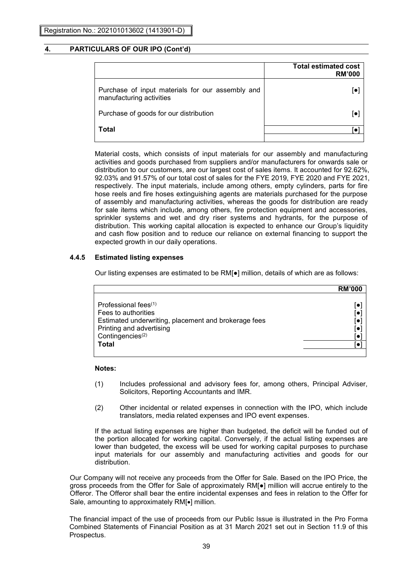|                                                                              | <b>Total estimated cost</b><br><b>RM'000</b> |
|------------------------------------------------------------------------------|----------------------------------------------|
| Purchase of input materials for our assembly and<br>manufacturing activities |                                              |
| Purchase of goods for our distribution                                       |                                              |
| Total                                                                        |                                              |

Material costs, which consists of input materials for our assembly and manufacturing activities and goods purchased from suppliers and/or manufacturers for onwards sale or distribution to our customers, are our largest cost of sales items. It accounted for 92.62%, 92.03% and 91.57% of our total cost of sales for the FYE 2019, FYE 2020 and FYE 2021, respectively. The input materials, include among others, empty cylinders, parts for fire hose reels and fire hoses extinguishing agents are materials purchased for the purpose of assembly and manufacturing activities, whereas the goods for distribution are ready for sale items which include, among others, fire protection equipment and accessories, sprinkler systems and wet and dry riser systems and hydrants, for the purpose of distribution. This working capital allocation is expected to enhance our Group's liquidity and cash flow position and to reduce our reliance on external financing to support the expected growth in our daily operations.

### **4.4.5 Estimated listing expenses**

Our listing expenses are estimated to be RM[●] million, details of which are as follows:

|                                                                                                                                                                                    | <b>RM'000</b> |
|------------------------------------------------------------------------------------------------------------------------------------------------------------------------------------|---------------|
| Professional fees $(1)$<br>Fees to authorities<br>Estimated underwriting, placement and brokerage fees<br>Printing and advertising<br>Contingencies <sup>(2)</sup><br><b>Total</b> | ۱.<br>[●      |

### **Notes:**

- (1) Includes professional and advisory fees for, among others, Principal Adviser, Solicitors, Reporting Accountants and IMR.
- (2) Other incidental or related expenses in connection with the IPO, which include translators, media related expenses and IPO event expenses.

If the actual listing expenses are higher than budgeted, the deficit will be funded out of the portion allocated for working capital. Conversely, if the actual listing expenses are lower than budgeted, the excess will be used for working capital purposes to purchase input materials for our assembly and manufacturing activities and goods for our distribution.

Our Company will not receive any proceeds from the Offer for Sale. Based on the IPO Price, the gross proceeds from the Offer for Sale of approximately RM[●] million will accrue entirely to the Offeror. The Offeror shall bear the entire incidental expenses and fees in relation to the Offer for Sale, amounting to approximately RM[ $\bullet$ ] million.

The financial impact of the use of proceeds from our Public Issue is illustrated in the Pro Forma Combined Statements of Financial Position as at 31 March 2021 set out in Section 11.9 of this Prospectus.